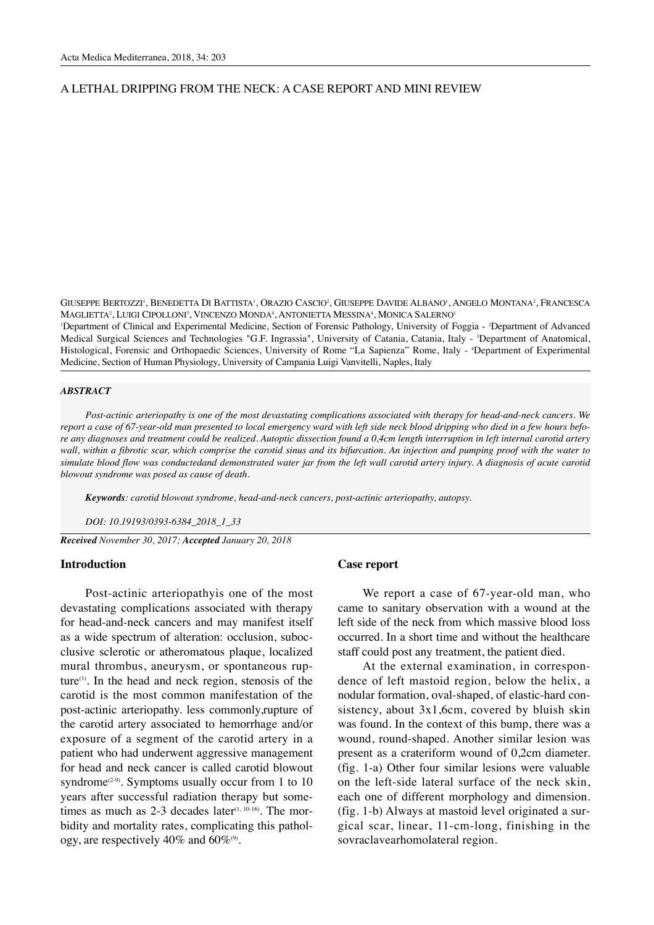### A LETHAL DRIPPING FROM THE NECK: A CASE REPORT AND MINI REVIEW

GIUSEPPE BERTOZZI', BENEDETTA DI BATTISTA', ORAZIO CASCIO<sup>2</sup>, GIUSEPPE DAVIDE ALBANO', ANGELO MONTANA<sup>2</sup>, FRANCESCA MAGLIETTA<sup>2</sup>, LUIGI CIPOLLONI<sup>3</sup>, VINCENZO MONDA<sup>4</sup>, ANTONIETTA MESSINA<sup>4</sup>, MONICA SALERNO<sup>1</sup>

1 Department of Clinical and Experimental Medicine, Section of Forensic Pathology, University of Foggia - 2 Department of Advanced Medical Surgical Sciences and Technologies "G.F. Ingrassia", University of Catania, Catania, Italy - 3Department of Anatomical, Histological, Forensic and Orthopaedic Sciences, University of Rome "La Sapienza" Rome, Italy - 4 Department of Experimental Medicine, Section of Human Physiology, University of Campania Luigi Vanvitelli, Naples, Italy

#### *ABSTRACT*

*Post-actinic arteriopathy is one of the most devastating complications associated with therapy for head-and-neck cancers. We report a case of 67-year-old man presented to local emergency ward with left side neck blood dripping who died in a few hours before any diagnoses and treatment could be realized. Autoptic dissection found a 0,4cm length interruption in left internal carotid artery wall, within a fibrotic scar, which comprise the carotid sinus and its bifurcation. An injection and pumping proof with the water to simulate blood flow was conductedand demonstrated water jar from the left wall carotid artery injury. A diagnosis of acute carotid blowout syndrome was posed as cause of death.*

*Keywords: carotid blowout syndrome, head-and-neck cancers, post-actinic arteriopathy, autopsy.*

*DOI: 10.19193/0393-6384\_2018\_1\_33*

*Received November 30, 2017; Accepted January 20, 2018*

### **Introduction**

Post-actinic arteriopathyis one of the most devastating complications associated with therapy for head-and-neck cancers and may manifest itself as a wide spectrum of alteration: occlusion, subocclusive sclerotic or atheromatous plaque, localized mural thrombus, aneurysm, or spontaneous rupture $(1)$ . In the head and neck region, stenosis of the carotid is the most common manifestation of the post-actinic arteriopathy. less commonly,rupture of the carotid artery associated to hemorrhage and/or exposure of a segment of the carotid artery in a patient who had underwent aggressive management for head and neck cancer is called carotid blowout syndrome<sup> $(2-9)$ </sup>. Symptoms usually occur from 1 to 10 years after successful radiation therapy but sometimes as much as  $2-3$  decades later<sup> $(1, 10-16)$ </sup>. The morbidity and mortality rates, complicating this pathology, are respectively  $40\%$  and  $60\%$ <sup>(9)</sup>.

# **Case report**

We report a case of 67-year-old man, who came to sanitary observation with a wound at the left side of the neck from which massive blood loss occurred. In a short time and without the healthcare staff could post any treatment, the patient died.

At the external examination, in correspondence of left mastoid region, below the helix, a nodular formation, oval-shaped, of elastic-hard consistency, about  $3x1,6cm$ , covered by bluish skin was found. In the context of this bump, there was a wound, round-shaped. Another similar lesion was present as a crateriform wound of 0,2cm diameter. (fig. 1-a) Other four similar lesions were valuable on the left-side lateral surface of the neck skin, each one of different morphology and dimension. (fig. 1-b) Always at mastoid level originated a surgical scar, linear, 11-cm-long, finishing in the sovraclavearhomolateral region.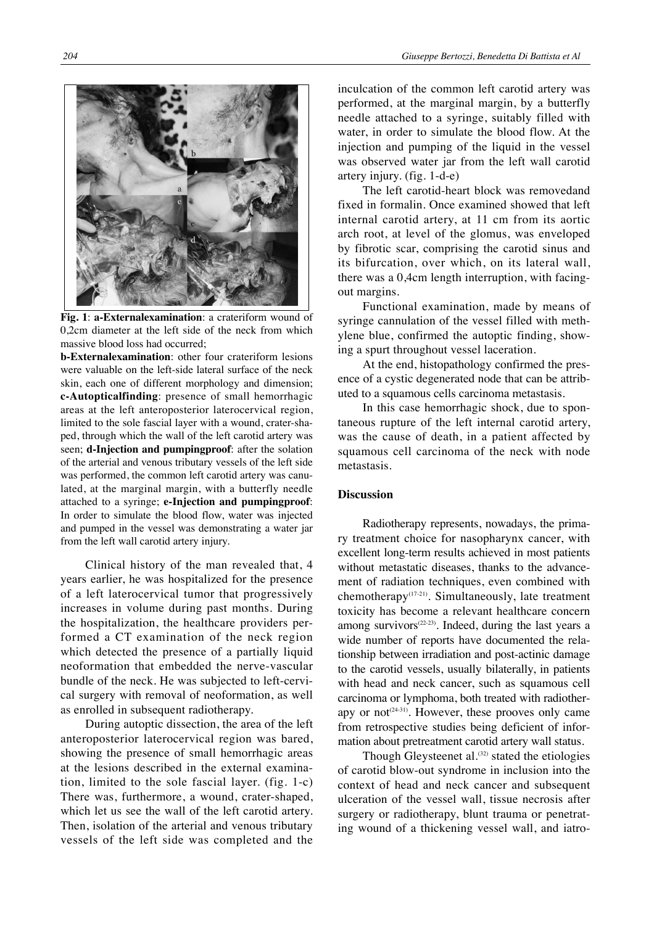

**Fig. 1**: **a-Externalexamination**: a crateriform wound of 0,2cm diameter at the left side of the neck from which massive blood loss had occurred;

**b-Externalexamination**: other four crateriform lesions were valuable on the left-side lateral surface of the neck skin, each one of different morphology and dimension; **c-Autopticalfinding**: presence of small hemorrhagic areas at the left anteroposterior laterocervical region, limited to the sole fascial layer with a wound, crater-shaped, through which the wall of the left carotid artery was seen; **d-Injection and pumpingproof**: after the solation of the arterial and venous tributary vessels of the left side was performed, the common left carotid artery was canulated, at the marginal margin, with a butterfly needle attached to a syringe; **e-Injection and pumpingproof**: In order to simulate the blood flow, water was injected and pumped in the vessel was demonstrating a water jar from the left wall carotid artery injury.

Clinical history of the man revealed that, 4 years earlier, he was hospitalized for the presence of a left laterocervical tumor that progressively increases in volume during past months. During the hospitalization, the healthcare providers performed a CT examination of the neck region which detected the presence of a partially liquid neoformation that embedded the nerve-vascular bundle of the neck. He was subjected to left-cervical surgery with removal of neoformation, as well as enrolled in subsequent radiotherapy.

During autoptic dissection, the area of the left anteroposterior laterocervical region was bared, showing the presence of small hemorrhagic areas at the lesions described in the external examination, limited to the sole fascial layer. (fig. 1-c) There was, furthermore, a wound, crater-shaped, which let us see the wall of the left carotid artery. Then, isolation of the arterial and venous tributary vessels of the left side was completed and the inculcation of the common left carotid artery was performed, at the marginal margin, by a butterfly needle attached to a syringe, suitably filled with water, in order to simulate the blood flow. At the injection and pumping of the liquid in the vessel was observed water jar from the left wall carotid artery injury. (fig. 1-d-e)

The left carotid-heart block was removedand fixed in formalin. Once examined showed that left internal carotid artery, at 11 cm from its aortic arch root, at level of the glomus, was enveloped by fibrotic scar, comprising the carotid sinus and its bifurcation, over which, on its lateral wall, there was a 0,4cm length interruption, with facingout margins.

Functional examination, made by means of syringe cannulation of the vessel filled with methylene blue, confirmed the autoptic finding, showing a spurt throughout vessel laceration.

At the end, histopathology confirmed the presence of a cystic degenerated node that can be attributed to a squamous cells carcinoma metastasis.

In this case hemorrhagic shock, due to spontaneous rupture of the left internal carotid artery, was the cause of death, in a patient affected by squamous cell carcinoma of the neck with node metastasis.

# **Discussion**

Radiotherapy represents, nowadays, the primary treatment choice for nasopharynx cancer, with excellent long-term results achieved in most patients without metastatic diseases, thanks to the advancement of radiation techniques, even combined with chemotherapy(17-21). Simultaneously, late treatment toxicity has become a relevant healthcare concern among survivors<sup>(22-23)</sup>. Indeed, during the last years a wide number of reports have documented the relationship between irradiation and post-actinic damage to the carotid vessels, usually bilaterally, in patients with head and neck cancer, such as squamous cell carcinoma or lymphoma, both treated with radiotherapy or not<sup> $(24-31)$ </sup>. However, these prooves only came from retrospective studies being deficient of information about pretreatment carotid artery wall status.

Though Gleysteenet al.<sup>(32)</sup> stated the etiologies of carotid blow-out syndrome in inclusion into the context of head and neck cancer and subsequent ulceration of the vessel wall, tissue necrosis after surgery or radiotherapy, blunt trauma or penetrating wound of a thickening vessel wall, and iatro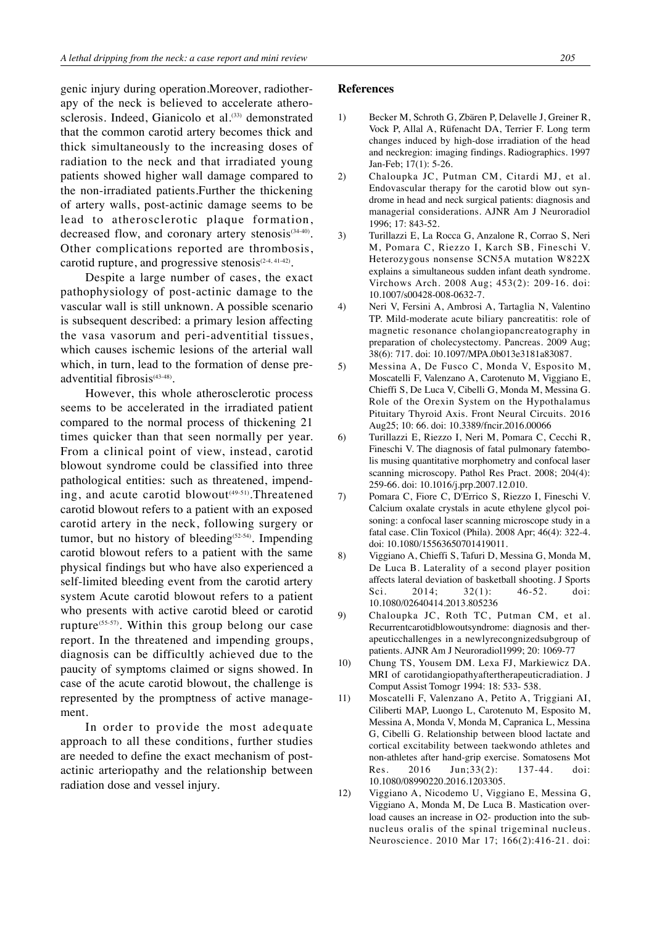genic injury during operation.Moreover, radiotherapy of the neck is believed to accelerate atherosclerosis. Indeed, Gianicolo et al.<sup>(33)</sup> demonstrated that the common carotid artery becomes thick and thick simultaneously to the increasing doses of radiation to the neck and that irradiated young patients showed higher wall damage compared to the non-irradiated patients.Further the thickening of artery walls, post-actinic damage seems to be lead to atherosclerotic plaque formation, decreased flow, and coronary artery stenosis<sup>(34-40)</sup>. Other complications reported are thrombosis, carotid rupture, and progressive stenosis $(2-4, 41-42)$ .

Despite a large number of cases, the exact pathophysiology of post-actinic damage to the vascular wall is still unknown. A possible scenario is subsequent described: a primary lesion affecting the vasa vasorum and peri-adventitial tissues, which causes ischemic lesions of the arterial wall which, in turn, lead to the formation of dense preadventitial fibrosis<sup>(43-48)</sup>.

However, this whole atherosclerotic process seems to be accelerated in the irradiated patient compared to the normal process of thickening 21 times quicker than that seen normally per year. From a clinical point of view, instead, carotid blowout syndrome could be classified into three pathological entities: such as threatened, impending, and acute carotid blowout<sup>(49.51)</sup>. Threatened carotid blowout refers to a patient with an exposed carotid artery in the neck, following surgery or tumor, but no history of bleeding<sup>(52-54)</sup>. Impending carotid blowout refers to a patient with the same physical findings but who have also experienced a self-limited bleeding event from the carotid artery system Acute carotid blowout refers to a patient who presents with active carotid bleed or carotid rupture<sup>(55.57)</sup>. Within this group belong our case report. In the threatened and impending groups, diagnosis can be difficultly achieved due to the paucity of symptoms claimed or signs showed. In case of the acute carotid blowout, the challenge is represented by the promptness of active management.

In order to provide the most adequate approach to all these conditions, further studies are needed to define the exact mechanism of postactinic arteriopathy and the relationship between radiation dose and vessel injury.

#### **References**

- 1) Becker M, Schroth G, Zbären P, Delavelle J, Greiner R, Vock P, Allal A, Rüfenacht DA, Terrier F. Long term changes induced by high-dose irradiation of the head and neckregion: imaging findings. Radiographics. 1997 Jan-Feb; 17(1): 5-26.
- 2) Chaloupka JC, Putman CM, Citardi MJ, et al. Endovascular therapy for the carotid blow out syndrome in head and neck surgical patients: diagnosis and managerial considerations. AJNR Am J Neuroradiol 1996; 17: 843-52.
- 3) Turillazzi E, La Rocca G, Anzalone R, Corrao S, Neri M, Pomara C, Riezzo I, Karch SB, Fineschi V. Heterozygous nonsense SCN5A mutation W822X explains a simultaneous sudden infant death syndrome. Virchows Arch. 2008 Aug; 453(2): 209-16. doi: 10.1007/s00428-008-0632-7.
- 4) Neri V, Fersini A, Ambrosi A, Tartaglia N, Valentino TP. Mild-moderate acute biliary pancreatitis: role of magnetic resonance cholangiopancreatography in preparation of cholecystectomy. Pancreas. 2009 Aug; 38(6): 717. doi: 10.1097/MPA.0b013e3181a83087.
- 5) Messina A, De Fusco C, Monda V, Esposito M, Moscatelli F, Valenzano A, Carotenuto M, Viggiano E, Chieffi S, De Luca V, Cibelli G, Monda M, Messina G. Role of the Orexin System on the Hypothalamus Pituitary Thyroid Axis. Front Neural Circuits. 2016 Aug25; 10: 66. doi: 10.3389/fncir.2016.00066
- 6) Turillazzi E, Riezzo I, Neri M, Pomara C, Cecchi R, Fineschi V. The diagnosis of fatal pulmonary fatembolis musing quantitative morphometry and confocal laser scanning microscopy. Pathol Res Pract. 2008; 204(4): 259-66. doi: 10.1016/j.prp.2007.12.010.
- 7) Pomara C, Fiore C, D'Errico S, Riezzo I, Fineschi V. Calcium oxalate crystals in acute ethylene glycol poisoning: a confocal laser scanning microscope study in a fatal case. Clin Toxicol (Phila). 2008 Apr; 46(4): 322-4. doi: 10.1080/15563650701419011.
- 8) Viggiano A, Chieffi S, Tafuri D, Messina G, Monda M, De Luca B. Laterality of a second player position affects lateral deviation of basketball shooting. J Sports Sci. 2014; 32(1): 46-52. doi: 10.1080/02640414.2013.805236
- 9) Chaloupka JC, Roth TC, Putman CM, et al. Recurrentcarotidblowoutsyndrome: diagnosis and therapeuticchallenges in a newlyrecongnizedsubgroup of patients. AJNR Am J Neuroradiol1999; 20: 1069-77
- 10) Chung TS, Yousem DM. Lexa FJ, Markiewicz DA. MRI of carotidangiopathyaftertherapeuticradiation. J Comput Assist Tomogr 1994: 18: 533- 538.
- 11) Moscatelli F, Valenzano A, Petito A, Triggiani AI, Ciliberti MAP, Luongo L, Carotenuto M, Esposito M, Messina A, Monda V, Monda M, Capranica L, Messina G, Cibelli G. Relationship between blood lactate and cortical excitability between taekwondo athletes and non-athletes after hand-grip exercise. Somatosens Mot Res. 2016 Jun;33(2): 137-44. doi: 10.1080/08990220.2016.1203305.
- 12) Viggiano A, Nicodemo U, Viggiano E, Messina G, Viggiano A, Monda M, De Luca B. Mastication overload causes an increase in O2- production into the subnucleus oralis of the spinal trigeminal nucleus. Neuroscience. 2010 Mar 17; 166(2):416-21. doi: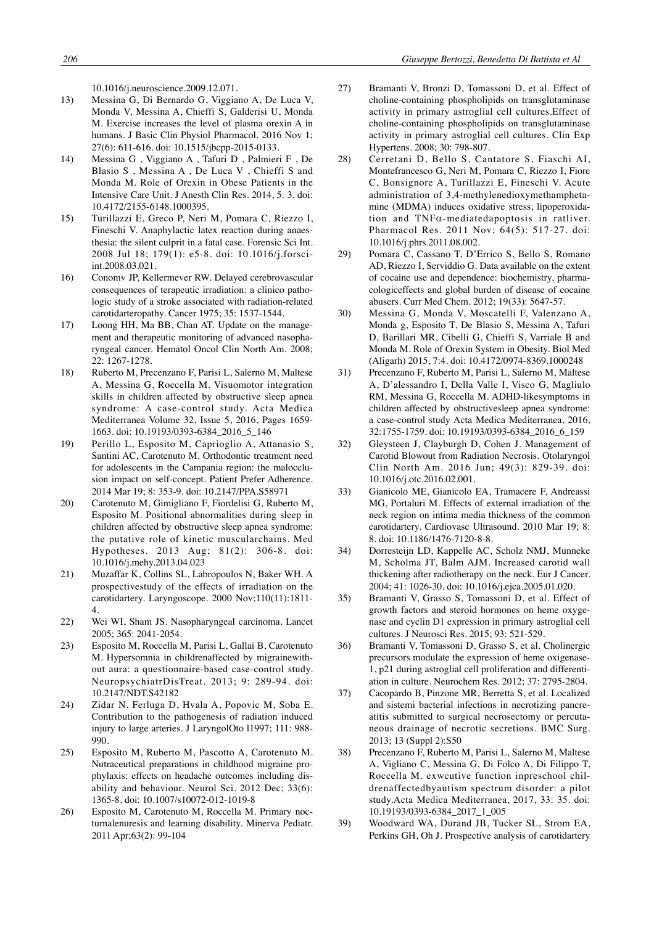10.1016/j.neuroscience.2009.12.071.

- 13) Messina G, Di Bernardo G, Viggiano A, De Luca V, Monda V, Messina A, Chieffi S, Galderisi U, Monda M. Exercise increases the level of plasma orexin A in humans. J Basic Clin Physiol Pharmacol. 2016 Nov 1; 27(6): 611-616. doi: 10.1515/jbcpp-2015-0133.
- 14) Messina G , Viggiano A , Tafuri D , Palmieri F , De Blasio S , Messina A , De Luca V , Chieffi S and Monda M. Role of Orexin in Obese Patients in the Intensive Care Unit. J Anesth Clin Res. 2014, 5: 3. doi: 10.4172/2155-6148.1000395.
- 15) Turillazzi E, Greco P, Neri M, Pomara C, Riezzo I, Fineschi V. Anaphylactic latex reaction during anaesthesia: the silent culprit in a fatal case. Forensic Sci Int. 2008 Jul 18; 179(1): e5-8. doi: 10.1016/j.forsciint.2008.03.021.
- 16) Conomv JP, Kellermever RW. Delayed cerebrovascular consequences of terapeutic irradiation: a clinico pathologic study of a stroke associated with radiation-related carotidarteropathy. Cancer 1975; 35: 1537-1544.
- 17) Loong HH, Ma BB, Chan AT. Update on the management and therapeutic monitoring of advanced nasopharyngeal cancer. Hematol Oncol Clin North Am. 2008; 22: 1267-1278.
- 18) Ruberto M, Precenzano F, Parisi L, Salerno M, Maltese A, Messina G, Roccella M. Visuomotor integration skills in children affected by obstructive sleep apnea syndrome: A case-control study. Acta Medica Mediterranea Volume 32, Issue 5, 2016, Pages 1659- 1663. doi: 10.19193/0393-6384\_2016\_5\_146
- 19) Perillo L, Esposito M, Caprioglio A, Attanasio S, Santini AC, Carotenuto M. Orthodontic treatment need for adolescents in the Campania region: the malocclusion impact on self-concept. Patient Prefer Adherence. 2014 Mar 19; 8: 353-9. doi: 10.2147/PPA.S58971
- 20) Carotenuto M, Gimigliano F, Fiordelisi G, Ruberto M, Esposito M. Positional abnormalities during sleep in children affected by obstructive sleep apnea syndrome: the putative role of kinetic muscularchains. Med Hypotheses. 2013 Aug; 81(2): 306-8. doi: 10.1016/j.mehy.2013.04.023
- 21) Muzaffar K, Collins SL, Labropoulos N, Baker WH. A prospectivestudy of the effects of irradiation on the carotidartery. Laryngoscope. 2000 Nov;110(11):1811- 4.
- 22) Wei WI, Sham JS. Nasopharyngeal carcinoma. Lancet 2005; 365: 2041-2054.
- 23) Esposito M, Roccella M, Parisi L, Gallai B, Carotenuto M. Hypersomnia in childrenaffected by migrainewithout aura: a questionnaire-based case-control study. NeuropsychiatrDisTreat. 2013; 9: 289-94. doi: 10.2147/NDT.S42182
- 24) Zidar N, Ferluga D, Hvala A, Popovic M, Soba E. Contribution to the pathogenesis of radiation induced injury to large arteries. J LaryngolOto l1997; 111: 988- 990.
- 25) Esposito M, Ruberto M, Pascotto A, Carotenuto M. Nutraceutical preparations in childhood migraine prophylaxis: effects on headache outcomes including disability and behaviour. Neurol Sci. 2012 Dec; 33(6): 1365-8. doi: 10.1007/s10072-012-1019-8
- 26) Esposito M, Carotenuto M, Roccella M. Primary nocturnalenuresis and learning disability. Minerva Pediatr. 2011 Apr;63(2): 99-104
- 27) Bramanti V, Bronzi D, Tomassoni D, et al. Effect of choline-containing phospholipids on transglutaminase activity in primary astroglial cell cultures.Effect of choline-containing phospholipids on transglutaminase activity in primary astroglial cell cultures. Clin Exp Hypertens. 2008; 30: 798-807.
- 28) Cerretani D, Bello S, Cantatore S, Fiaschi AI, Montefrancesco G, Neri M, Pomara C, Riezzo I, Fiore C, Bonsignore A, Turillazzi E, Fineschi V. Acute administration of 3,4-methylenedioxymethamphetamine (MDMA) induces oxidative stress, lipoperoxidation and TNFα-mediatedapoptosis in ratliver. Pharmacol Res. 2011 Nov; 64(5): 517-27. doi: 10.1016/j.phrs.2011.08.002.
- 29) Pomara C, Cassano T, D'Errico S, Bello S, Romano AD, Riezzo I, Serviddio G. Data available on the extent of cocaine use and dependence: biochemistry, pharmacologiceffects and global burden of disease of cocaine abusers. Curr Med Chem. 2012; 19(33): 5647-57.
- 30) Messina G, Monda V, Moscatelli F, Valenzano A, Monda g, Esposito T, De Blasio S, Messina A, Tafuri D, Barillari MR, Cibelli G, Chieffi S, Varriale B and Monda M. Role of Orexin System in Obesity. Biol Med (Aligarh) 2015, 7:4. doi: 10.4172/0974-8369.1000248
- 31) Precenzano F, Ruberto M, Parisi L, Salerno M, Maltese A, D'alessandro I, Della Valle I, Visco G, Magliulo RM, Messina G, Roccella M. ADHD-likesymptoms in children affected by obstructivesleep apnea syndrome: a case-control study Acta Medica Mediterranea, 2016, 32:1755-1759. doi: 10.19193/0393-6384\_2016\_6\_159
- 32) Gleysteen J, Clayburgh D, Cohen J. Management of Carotid Blowout from Radiation Necrosis. Otolaryngol Clin North Am. 2016 Jun; 49(3): 829-39. doi: 10.1016/j.otc.2016.02.001.
- 33) Gianicolo ME, Gianicolo EA, Tramacere F, Andreassi MG, Portaluri M. Effects of external irradiation of the neck region on intima media thickness of the common carotidartery. Cardiovasc Ultrasound. 2010 Mar 19; 8: 8. doi: 10.1186/1476-7120-8-8.
- 34) Dorresteijn LD, Kappelle AC, Scholz NMJ, Munneke M, Scholma JT, Balm AJM. Increased carotid wall thickening after radiotherapy on the neck. Eur J Cancer. 2004; 41: 1026-30. doi: 10.1016/j.ejca.2005.01.020.
- 35) Bramanti V, Grasso S, Tomassoni D, et al. Effect of growth factors and steroid hormones on heme oxygenase and cyclin D1 expression in primary astroglial cell cultures. J Neurosci Res. 2015; 93: 521-529.
- 36) Bramanti V, Tomassoni D, Grasso S, et al. Cholinergic precursors modulate the expression of heme oxigenase-1, p21 during astroglial cell proliferation and differentiation in culture. Neurochem Res. 2012; 37: 2795-2804.
- 37) Cacopardo B, Pinzone MR, Berretta S, et al. Localized and sistemi bacterial infections in necrotizing pancreatitis submitted to surgical necrosectomy or percutaneous drainage of necrotic secretions. BMC Surg. 2013; 13 (Suppl 2):S50
- 38) Precenzano F, Ruberto M, Parisi L, Salerno M, Maltese A, Vigliano C, Messina G, Di Folco A, Di Filippo T, Roccella M. exwcutive function inpreschool childrenaffectedbyautism spectrum disorder: a pilot study.Acta Medica Mediterranea, 2017, 33: 35. doi: 10.19193/0393-6384\_2017\_1\_005
- 39) Woodward WA, Durand JB, Tucker SL, Strom EA, Perkins GH, Oh J. Prospective analysis of carotidartery